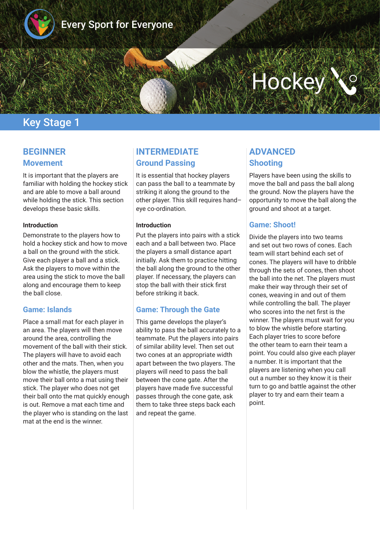

# **Hockey**

# Key Stage 1

## **BEGINNER Movement**

It is important that the players are familiar with holding the hockey stick and are able to move a ball around while holding the stick. This section develops these basic skills.

#### **Introduction**

Demonstrate to the players how to hold a hockey stick and how to move a ball on the ground with the stick. Give each player a ball and a stick. Ask the players to move within the area using the stick to move the ball along and encourage them to keep the ball close.

#### **Game: Islands**

Place a small mat for each player in an area. The players will then move around the area, controlling the movement of the ball with their stick. The players will have to avoid each other and the mats. Then, when you blow the whistle, the players must move their ball onto a mat using their stick. The player who does not get their ball onto the mat quickly enough is out. Remove a mat each time and the player who is standing on the last mat at the end is the winner.

## **INTERMEDIATE Ground Passing**

It is essential that hockey players can pass the ball to a teammate by striking it along the ground to the other player. This skill requires hand– eye co-ordination.

#### **Introduction**

Put the players into pairs with a stick each and a ball between two. Place the players a small distance apart initially. Ask them to practice hitting the ball along the ground to the other player. If necessary, the players can stop the ball with their stick frst before striking it back.

#### **Game: Through the Gate**

This game develops the player's ability to pass the ball accurately to a teammate. Put the players into pairs of similar ability level. Then set out two cones at an appropriate width apart between the two players. The players will need to pass the ball between the cone gate. After the players have made fve successful passes through the cone gate, ask them to take three steps back each and repeat the game.

## **ADVANCED Shooting**

Players have been using the skills to move the ball and pass the ball along the ground. Now the players have the opportunity to move the ball along the ground and shoot at a target.

#### **Game: Shoot!**

Divide the players into two teams and set out two rows of cones. Each team will start behind each set of cones. The players will have to dribble through the sets of cones, then shoot the ball into the net. The players must make their way through their set of cones, weaving in and out of them while controlling the ball. The player who scores into the net frst is the winner. The players must wait for you to blow the whistle before starting. Each player tries to score before the other team to earn their team a point. You could also give each player a number. It is important that the players are listening when you call out a number so they know it is their turn to go and battle against the other player to try and earn their team a point.